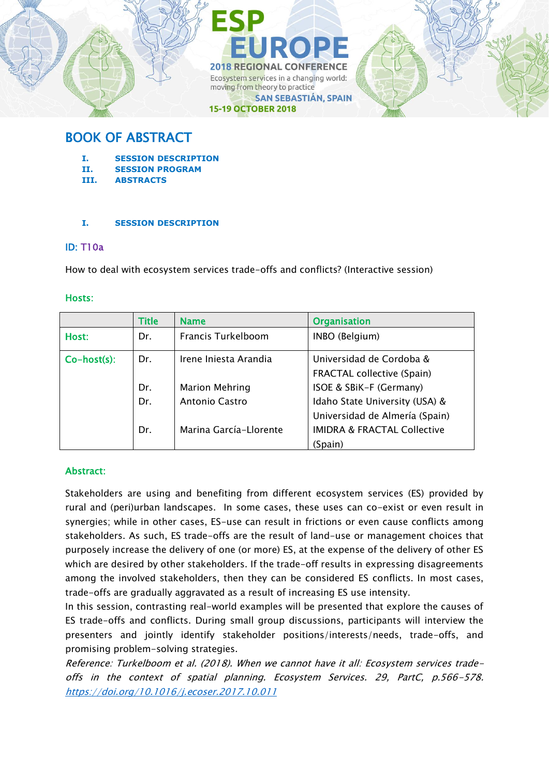

# BOOK OF ABSTRACT

- **I. SESSION DESCRIPTION**
- **II. SESSION PROGRAM**
- **III. ABSTRACTS**

### **I. SESSION DESCRIPTION**

### ID: T10a

How to deal with ecosystem services trade-offs and conflicts? (Interactive session)

### Hosts:

|             | <b>Title</b> | <b>Name</b>            | <b>Organisation</b>                                              |  |
|-------------|--------------|------------------------|------------------------------------------------------------------|--|
| Host:       | Dr.          | Francis Turkelboom     | INBO (Belgium)                                                   |  |
| Co-host(s): | Dr.          | Irene Iniesta Arandia  | Universidad de Cordoba &<br><b>FRACTAL collective (Spain)</b>    |  |
|             | Dr.          | <b>Marion Mehring</b>  | ISOE & SBIK-F (Germany)                                          |  |
|             | Dr.          | <b>Antonio Castro</b>  | Idaho State University (USA) &<br>Universidad de Almería (Spain) |  |
|             | Dr.          | Marina García-Llorente | <b>IMIDRA &amp; FRACTAL Collective</b>                           |  |
|             |              |                        | (Spain)                                                          |  |

### Abstract:

Stakeholders are using and benefiting from different ecosystem services (ES) provided by rural and (peri)urban landscapes. In some cases, these uses can co-exist or even result in synergies; while in other cases, ES-use can result in frictions or even cause conflicts among stakeholders. As such, ES trade-offs are the result of land-use or management choices that purposely increase the delivery of one (or more) ES, at the expense of the delivery of other ES which are desired by other stakeholders. If the trade-off results in expressing disagreements among the involved stakeholders, then they can be considered ES conflicts. In most cases, trade-offs are gradually aggravated as a result of increasing ES use intensity.

In this session, contrasting real-world examples will be presented that explore the causes of ES trade-offs and conflicts. During small group discussions, participants will interview the presenters and jointly identify stakeholder positions/interests/needs, trade-offs, and promising problem-solving strategies.

Reference: Turkelboom et al. (2018). When we cannot have it all: Ecosystem services tradeoffs in the context of spatial planning. Ecosystem Services. 29, PartC, p.566-578. <https://doi.org/10.1016/j.ecoser.2017.10.011>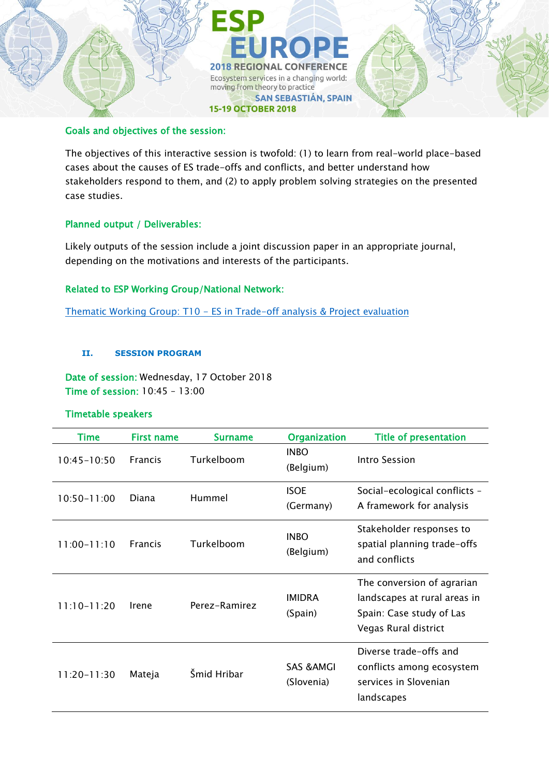

### Goals and objectives of the session:

The objectives of this interactive session is twofold: (1) to learn from real-world place-based cases about the causes of ES trade-offs and conflicts, and better understand how stakeholders respond to them, and (2) to apply problem solving strategies on the presented case studies.

### Planned output / Deliverables:

Likely outputs of the session include a joint discussion paper in an appropriate journal, depending on the motivations and interests of the participants.

### Related to ESP Working Group/National Network:

Thematic Working Group: T10 - [ES in Trade-off analysis & Project evaluation](https://www.es-partnership.org/community/workings-groups/thematic-working-groups/twg-10-trade-off-analysis-project-evaluation/)

### **II. SESSION PROGRAM**

Date of session: Wednesday, 17 October 2018 Time of session: 10:45 – 13:00

### Timetable speakers

| Time            | <b>First name</b> | <b>Surname</b> | <b>Organization</b>                 | <b>Title of presentation</b>                                                                                   |
|-----------------|-------------------|----------------|-------------------------------------|----------------------------------------------------------------------------------------------------------------|
| $10:45 - 10:50$ | <b>Francis</b>    | Turkelboom     | <b>INBO</b><br>(Belgium)            | Intro Session                                                                                                  |
| $10:50 - 11:00$ | Diana             | Hummel         | <b>ISOE</b><br>(Germany)            | Social-ecological conflicts -<br>A framework for analysis                                                      |
| $11:00 - 11:10$ | <b>Francis</b>    | Turkelboom     | <b>INBO</b><br>(Belgium)            | Stakeholder responses to<br>spatial planning trade-offs<br>and conflicts                                       |
| $11:10-11:20$   | Irene             | Perez-Ramirez  | <b>IMIDRA</b><br>(Spain)            | The conversion of agrarian<br>landscapes at rural areas in<br>Spain: Case study of Las<br>Vegas Rural district |
| $11:20-11:30$   | Mateja            | Šmid Hribar    | <b>SAS &amp; AMGI</b><br>(Slovenia) | Diverse trade-offs and<br>conflicts among ecosystem<br>services in Slovenian<br>landscapes                     |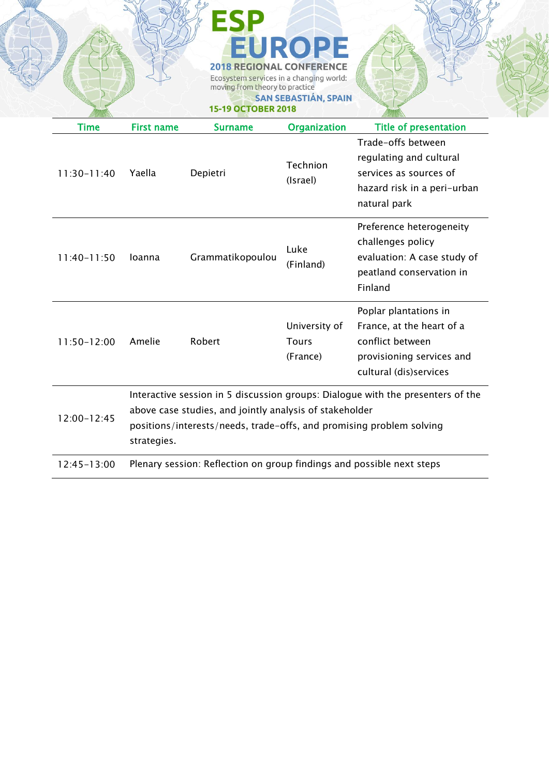|                 |                                                                                                                                                                                                                                   | <b>2018 REGIONAL CONFERENCE</b><br>Ecosystem services in a changing world:<br>moving from theory to practice<br><b>15-19 OCTOBER 2018</b> | EUROPE<br><b>SAN SEBASTIÁN, SPAIN</b>     |                                                                                                                               |
|-----------------|-----------------------------------------------------------------------------------------------------------------------------------------------------------------------------------------------------------------------------------|-------------------------------------------------------------------------------------------------------------------------------------------|-------------------------------------------|-------------------------------------------------------------------------------------------------------------------------------|
| Time            | <b>First name</b>                                                                                                                                                                                                                 | <b>Surname</b>                                                                                                                            | Organization                              | <b>Title of presentation</b>                                                                                                  |
| 11:30-11:40     | Yaella                                                                                                                                                                                                                            | Depietri                                                                                                                                  | Technion<br>(Israel)                      | Trade-offs between<br>regulating and cultural<br>services as sources of<br>hazard risk in a peri-urban<br>natural park        |
| $11:40-11:50$   | loanna                                                                                                                                                                                                                            | Grammatikopoulou                                                                                                                          | Luke<br>(Finland)                         | Preference heterogeneity<br>challenges policy<br>evaluation: A case study of<br>peatland conservation in<br>Finland           |
| $11:50-12:00$   | Amelie                                                                                                                                                                                                                            | Robert                                                                                                                                    | University of<br><b>Tours</b><br>(France) | Poplar plantations in<br>France, at the heart of a<br>conflict between<br>provisioning services and<br>cultural (dis)services |
| $12:00 - 12:45$ | Interactive session in 5 discussion groups: Dialogue with the presenters of the<br>above case studies, and jointly analysis of stakeholder<br>positions/interests/needs, trade-offs, and promising problem solving<br>strategies. |                                                                                                                                           |                                           |                                                                                                                               |
| $12:45 - 13:00$ | Plenary session: Reflection on group findings and possible next steps                                                                                                                                                             |                                                                                                                                           |                                           |                                                                                                                               |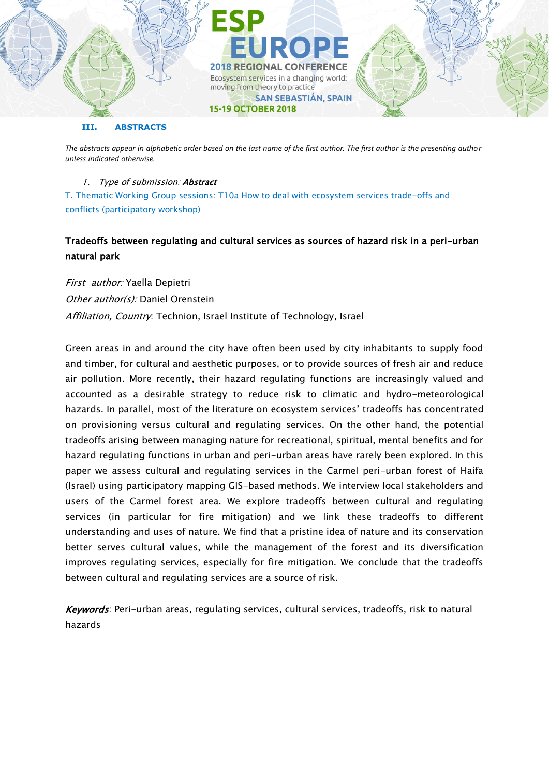

#### **III. ABSTRACTS**

*The abstracts appear in alphabetic order based on the last name of the first author. The first author is the presenting author unless indicated otherwise.*

### 1. Type of submission: Abstract

T. Thematic Working Group sessions: T10a How to deal with ecosystem services trade-offs and conflicts (participatory workshop)

# Tradeoffs between regulating and cultural services as sources of hazard risk in a peri-urban natural park

First author: Yaella Depietri Other author(s): Daniel Orenstein Affiliation, Country: Technion, Israel Institute of Technology, Israel

Green areas in and around the city have often been used by city inhabitants to supply food and timber, for cultural and aesthetic purposes, or to provide sources of fresh air and reduce air pollution. More recently, their hazard regulating functions are increasingly valued and accounted as a desirable strategy to reduce risk to climatic and hydro-meteorological hazards. In parallel, most of the literature on ecosystem services' tradeoffs has concentrated on provisioning versus cultural and regulating services. On the other hand, the potential tradeoffs arising between managing nature for recreational, spiritual, mental benefits and for hazard regulating functions in urban and peri-urban areas have rarely been explored. In this paper we assess cultural and regulating services in the Carmel peri-urban forest of Haifa (Israel) using participatory mapping GIS-based methods. We interview local stakeholders and users of the Carmel forest area. We explore tradeoffs between cultural and regulating services (in particular for fire mitigation) and we link these tradeoffs to different understanding and uses of nature. We find that a pristine idea of nature and its conservation better serves cultural values, while the management of the forest and its diversification improves regulating services, especially for fire mitigation. We conclude that the tradeoffs between cultural and regulating services are a source of risk.

Keywords: Peri-urban areas, regulating services, cultural services, tradeoffs, risk to natural hazards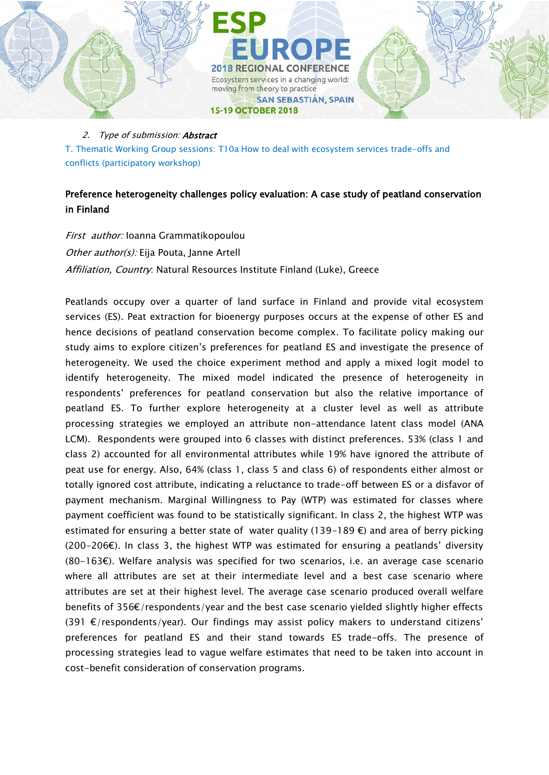

T. Thematic Working Group sessions: T10a How to deal with ecosystem services trade-offs and conflicts (participatory workshop)

# Preference heterogeneity challenges policy evaluation: A case study of peatland conservation in Finland

First author: Ioanna Grammatikopoulou Other author(s): Eija Pouta, Janne Artell Affiliation, Country: Natural Resources Institute Finland (Luke), Greece

Peatlands occupy over a quarter of land surface in Finland and provide vital ecosystem services (ES). Peat extraction for bioenergy purposes occurs at the expense of other ES and hence decisions of peatland conservation become complex. To facilitate policy making our study aims to explore citizen's preferences for peatland ES and investigate the presence of heterogeneity. We used the choice experiment method and apply a mixed logit model to identify heterogeneity. The mixed model indicated the presence of heterogeneity in respondents' preferences for peatland conservation but also the relative importance of peatland ES. To further explore heterogeneity at a cluster level as well as attribute processing strategies we employed an attribute non-attendance latent class model (ANA LCM). Respondents were grouped into 6 classes with distinct preferences. 53% (class 1 and class 2) accounted for all environmental attributes while 19% have ignored the attribute of peat use for energy. Also, 64% (class 1, class 5 and class 6) of respondents either almost or totally ignored cost attribute, indicating a reluctance to trade-off between ES or a disfavor of payment mechanism. Marginal Willingness to Pay (WTP) was estimated for classes where payment coefficient was found to be statistically significant. In class 2, the highest WTP was estimated for ensuring a better state of water quality (139-189  $\epsilon$ ) and area of berry picking  $(200-206\epsilon)$ . In class 3, the highest WTP was estimated for ensuring a peatlands' diversity (80-163€). Welfare analysis was specified for two scenarios, i.e. an average case scenario where all attributes are set at their intermediate level and a best case scenario where attributes are set at their highest level. The average case scenario produced overall welfare benefits of 356€/respondents/year and the best case scenario yielded slightly higher effects  $(391 \epsilon/\text{respondents/year})$ . Our findings may assist policy makers to understand citizens' preferences for peatland ES and their stand towards ES trade-offs. The presence of processing strategies lead to vague welfare estimates that need to be taken into account in cost-benefit consideration of conservation programs.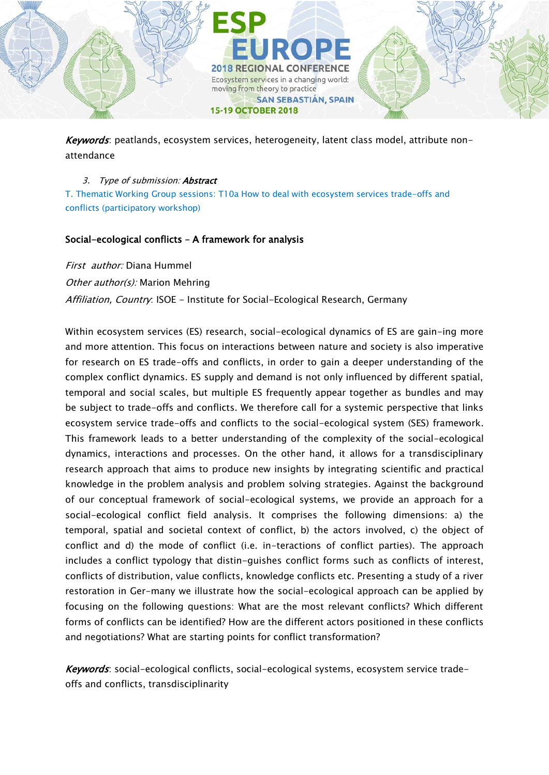

Keywords: peatlands, ecosystem services, heterogeneity, latent class model, attribute nonattendance

### 3. Type of submission: **Abstract**

T. Thematic Working Group sessions: T10a How to deal with ecosystem services trade-offs and conflicts (participatory workshop)

## Social-ecological conflicts – A framework for analysis

First author: Diana Hummel Other author(s): Marion Mehring Affiliation, Country: ISOE - Institute for Social-Ecological Research, Germany

Within ecosystem services (ES) research, social-ecological dynamics of ES are gain-ing more and more attention. This focus on interactions between nature and society is also imperative for research on ES trade-offs and conflicts, in order to gain a deeper understanding of the complex conflict dynamics. ES supply and demand is not only influenced by different spatial, temporal and social scales, but multiple ES frequently appear together as bundles and may be subject to trade-offs and conflicts. We therefore call for a systemic perspective that links ecosystem service trade-offs and conflicts to the social-ecological system (SES) framework. This framework leads to a better understanding of the complexity of the social-ecological dynamics, interactions and processes. On the other hand, it allows for a transdisciplinary research approach that aims to produce new insights by integrating scientific and practical knowledge in the problem analysis and problem solving strategies. Against the background of our conceptual framework of social-ecological systems, we provide an approach for a social-ecological conflict field analysis. It comprises the following dimensions: a) the temporal, spatial and societal context of conflict, b) the actors involved, c) the object of conflict and d) the mode of conflict (i.e. in-teractions of conflict parties). The approach includes a conflict typology that distin-guishes conflict forms such as conflicts of interest, conflicts of distribution, value conflicts, knowledge conflicts etc. Presenting a study of a river restoration in Ger-many we illustrate how the social-ecological approach can be applied by focusing on the following questions: What are the most relevant conflicts? Which different forms of conflicts can be identified? How are the different actors positioned in these conflicts and negotiations? What are starting points for conflict transformation?

Keywords: social-ecological conflicts, social-ecological systems, ecosystem service tradeoffs and conflicts, transdisciplinarity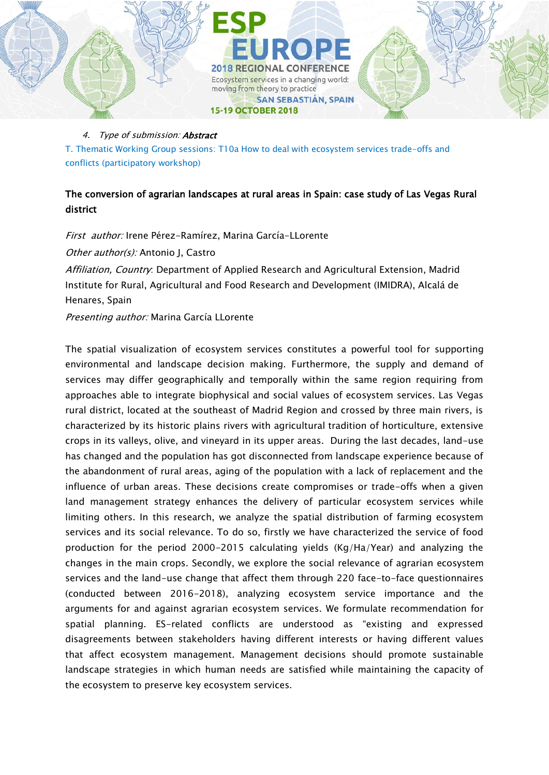

T. Thematic Working Group sessions: T10a How to deal with ecosystem services trade-offs and conflicts (participatory workshop)

# The conversion of agrarian landscapes at rural areas in Spain: case study of Las Vegas Rural district

First author: Irene Pérez-Ramírez, Marina García-LLorente Other author(s): Antonio J. Castro Affiliation. Country: Department of Applied Research and Agricultural Extension, Madrid Institute for Rural, Agricultural and Food Research and Development (IMIDRA), Alcalá de Henares, Spain

Presenting author: Marina García LLorente

The spatial visualization of ecosystem services constitutes a powerful tool for supporting environmental and landscape decision making. Furthermore, the supply and demand of services may differ geographically and temporally within the same region requiring from approaches able to integrate biophysical and social values of ecosystem services. Las Vegas rural district, located at the southeast of Madrid Region and crossed by three main rivers, is characterized by its historic plains rivers with agricultural tradition of horticulture, extensive crops in its valleys, olive, and vineyard in its upper areas. During the last decades, land-use has changed and the population has got disconnected from landscape experience because of the abandonment of rural areas, aging of the population with a lack of replacement and the influence of urban areas. These decisions create compromises or trade-offs when a given land management strategy enhances the delivery of particular ecosystem services while limiting others. In this research, we analyze the spatial distribution of farming ecosystem services and its social relevance. To do so, firstly we have characterized the service of food production for the period 2000-2015 calculating yields (Kg/Ha/Year) and analyzing the changes in the main crops. Secondly, we explore the social relevance of agrarian ecosystem services and the land-use change that affect them through 220 face-to-face questionnaires (conducted between 2016-2018), analyzing ecosystem service importance and the arguments for and against agrarian ecosystem services. We formulate recommendation for spatial planning. ES-related conflicts are understood as "existing and expressed disagreements between stakeholders having different interests or having different values that affect ecosystem management. Management decisions should promote sustainable landscape strategies in which human needs are satisfied while maintaining the capacity of the ecosystem to preserve key ecosystem services.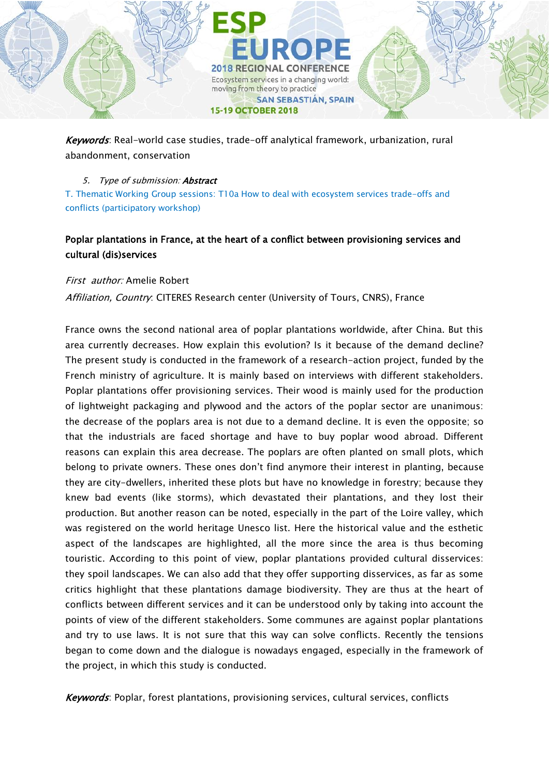

Keywords: Real-world case studies, trade-off analytical framework, urbanization, rural abandonment, conservation

### 5. Type of submission: **Abstract**

T. Thematic Working Group sessions: T10a How to deal with ecosystem services trade-offs and conflicts (participatory workshop)

# Poplar plantations in France, at the heart of a conflict between provisioning services and cultural (dis)services

### First author: Amelie Robert

Affiliation, Country: CITERES Research center (University of Tours, CNRS), France

France owns the second national area of poplar plantations worldwide, after China. But this area currently decreases. How explain this evolution? Is it because of the demand decline? The present study is conducted in the framework of a research-action project, funded by the French ministry of agriculture. It is mainly based on interviews with different stakeholders. Poplar plantations offer provisioning services. Their wood is mainly used for the production of lightweight packaging and plywood and the actors of the poplar sector are unanimous: the decrease of the poplars area is not due to a demand decline. It is even the opposite; so that the industrials are faced shortage and have to buy poplar wood abroad. Different reasons can explain this area decrease. The poplars are often planted on small plots, which belong to private owners. These ones don't find anymore their interest in planting, because they are city-dwellers, inherited these plots but have no knowledge in forestry; because they knew bad events (like storms), which devastated their plantations, and they lost their production. But another reason can be noted, especially in the part of the Loire valley, which was registered on the world heritage Unesco list. Here the historical value and the esthetic aspect of the landscapes are highlighted, all the more since the area is thus becoming touristic. According to this point of view, poplar plantations provided cultural disservices: they spoil landscapes. We can also add that they offer supporting disservices, as far as some critics highlight that these plantations damage biodiversity. They are thus at the heart of conflicts between different services and it can be understood only by taking into account the points of view of the different stakeholders. Some communes are against poplar plantations and try to use laws. It is not sure that this way can solve conflicts. Recently the tensions began to come down and the dialogue is nowadays engaged, especially in the framework of the project, in which this study is conducted.

Keywords: Poplar, forest plantations, provisioning services, cultural services, conflicts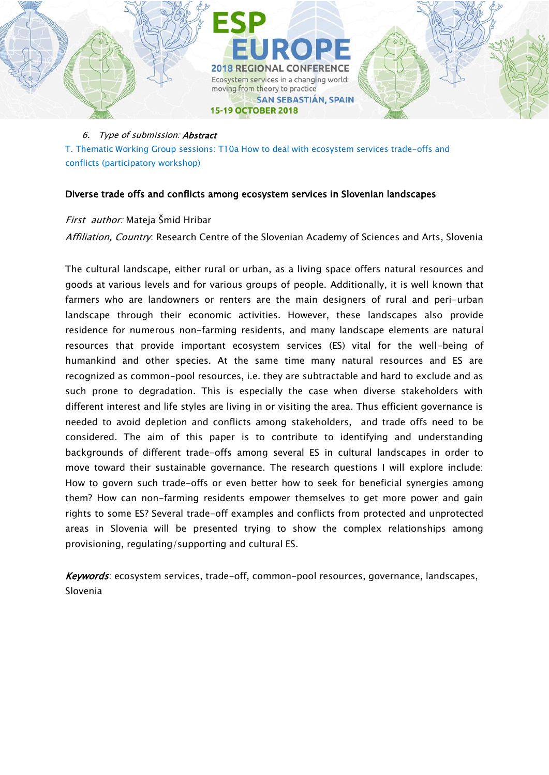

T. Thematic Working Group sessions: T10a How to deal with ecosystem services trade-offs and conflicts (participatory workshop)

### Diverse trade offs and conflicts among ecosystem services in Slovenian landscapes

### First author: Mateja Šmid Hribar

Affiliation, Country: Research Centre of the Slovenian Academy of Sciences and Arts, Slovenia

The cultural landscape, either rural or urban, as a living space offers natural resources and goods at various levels and for various groups of people. Additionally, it is well known that farmers who are landowners or renters are the main designers of rural and peri-urban landscape through their economic activities. However, these landscapes also provide residence for numerous non-farming residents, and many landscape elements are natural resources that provide important ecosystem services (ES) vital for the well-being of humankind and other species. At the same time many natural resources and ES are recognized as common-pool resources, i.e. they are subtractable and hard to exclude and as such prone to degradation. This is especially the case when diverse stakeholders with different interest and life styles are living in or visiting the area. Thus efficient governance is needed to avoid depletion and conflicts among stakeholders, and trade offs need to be considered. The aim of this paper is to contribute to identifying and understanding backgrounds of different trade-offs among several ES in cultural landscapes in order to move toward their sustainable governance. The research questions I will explore include: How to govern such trade-offs or even better how to seek for beneficial synergies among them? How can non-farming residents empower themselves to get more power and gain rights to some ES? Several trade-off examples and conflicts from protected and unprotected areas in Slovenia will be presented trying to show the complex relationships among provisioning, regulating/supporting and cultural ES.

Keywords: ecosystem services, trade-off, common-pool resources, governance, landscapes, Slovenia